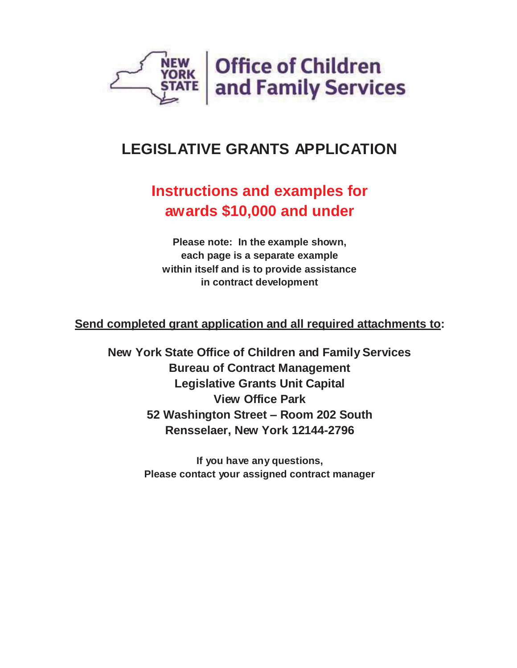

# **LEGISLATIVE GRANTS APPLICATION**

# **Instructions and examples for awards \$10,000 and under**

 **within itself and is to provide assistance Please note: In the example shown, each page is a separate example in contract development**

**Send completed grant application and all required attachments to:** 

 **New York State Office of Children and Family Services Bureau of Contract Management Legislative Grants Unit Capital View Office Park 52 Washington Street – Room 202 South Rensselaer, New York 12144-2796**

> **If you have any questions, Please contact your assigned contract manager**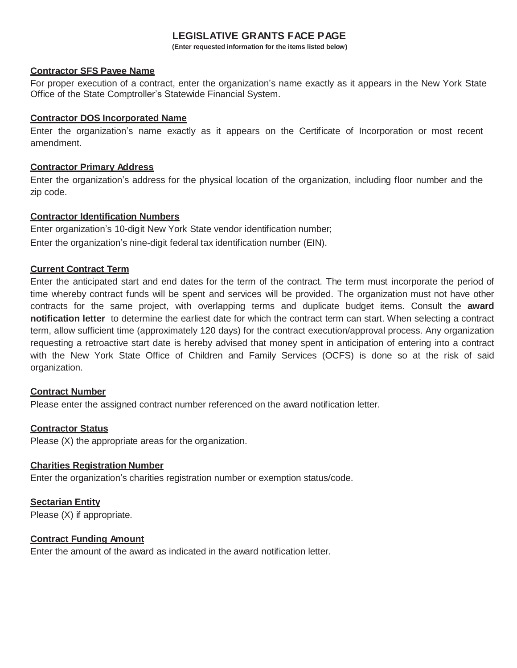#### **LEGISLATIVE GRANTS FACE PAGE**

**(Enter requested information for the items listed below)** 

#### **Contractor SFS Payee Name**

For proper execution of a contract, enter the organization's name exactly as it appears in the New York State Office of the State Comptroller's Statewide Financial System.

#### **Contractor DOS Incorporated Name**

 Enter the organization's name exactly as it appears on the Certificate of Incorporation or most recent amendment.

#### **Contractor Primary Address**

 Enter the organization's address for the physical location of the organization, including floor number and the zip code.

#### **Contractor Identification Numbers**

 Enter organization's 10-digit New York State vendor identification number; Enter the organization's nine-digit federal tax identification number (EIN).

#### **Current Contract Term**

 Enter the anticipated start and end dates for the term of the contract. The term must incorporate the period of time whereby contract funds will be spent and services will be provided. The organization must not have other contracts for the same project, with overlapping terms and duplicate budget items. Consult the **award notification letter** to determine the earliest date for which the contract term can start. When selecting a contract term, allow sufficient time (approximately 120 days) for the contract execution/approval process. Any organization requesting a retroactive start date is hereby advised that money spent in anticipation of entering into a contract with the New York State Office of Children and Family Services (OCFS) is done so at the risk of said organization.

#### **Contract Number**

Please enter the assigned contract number referenced on the award notification letter.

#### **Contractor Status**

Please (X) the appropriate areas for the organization.

#### **Charities Registration Number**

Enter the organization's charities registration number or exemption status/code.

#### **Sectarian Entity**

Please (X) if appropriate.

#### **Contract Funding Amount**

Enter the amount of the award as indicated in the award notification letter.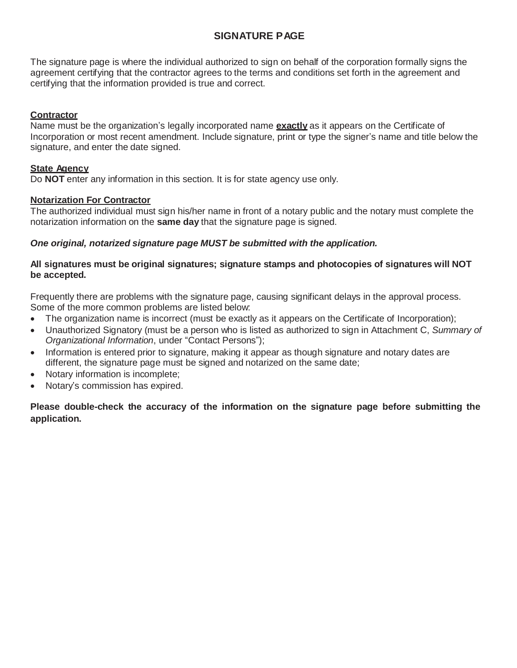## **SIGNATURE PAGE**

 The signature page is where the individual authorized to sign on behalf of the corporation formally signs the agreement certifying that the contractor agrees to the terms and conditions set forth in the agreement and certifying that the information provided is true and correct.

#### **Contractor**

 Name must be the organization's legally incorporated name **exactly** as it appears on the Certificate of Incorporation or most recent amendment. Include signature, print or type the signer's name and title below the signature, and enter the date signed.

#### **State Agency**

Do **NOT** enter any information in this section. It is for state agency use only.

#### **Notarization For Contractor**

 The authorized individual must sign his/her name in front of a notary public and the notary must complete the notarization information on the **same day** that the signature page is signed.

#### *One original, notarized signature page MUST be submitted with the application.*

#### **All signatures must be original signatures; signature stamps and photocopies of signatures will NOT be accepted.**

 Frequently there are problems with the signature page, causing significant delays in the approval process. Some of the more common problems are listed below:

- The organization name is incorrect (must be exactly as it appears on the Certificate of Incorporation);
- Unauthorized Signatory (must be a person who is listed as authorized to sign in Attachment C, Summary of *Organizational Information*, under "Contact Persons");
- Information is entered prior to signature, making it appear as though signature and notary dates are different, the signature page must be signed and notarized on the same date;
- Notary information is incomplete;
- Notary's commission has expired.

 **Please double-check the accuracy of the information on the signature page before submitting the application.**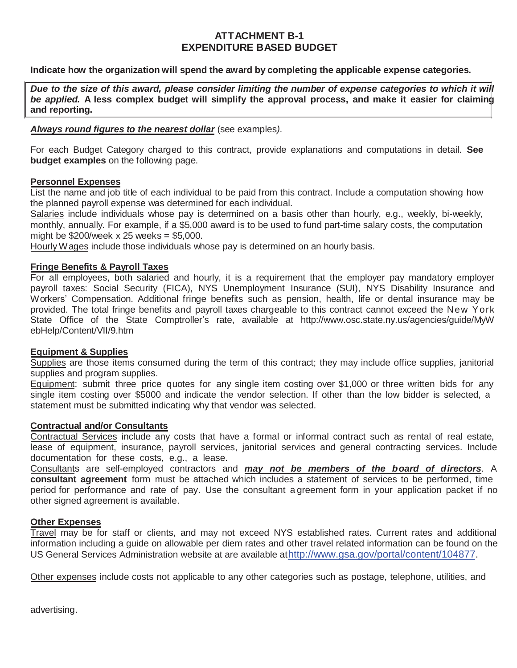## **ATTACHMENT B-1 EXPENDITURE BASED BUDGET**

#### **Indicate how the organization will spend the award by completing the applicable expense categories.**

 *Due to the size of this award, please consider limiting the number of expense categories to which it will*   *be applied.* **A less complex budget will simplify the approval process, and make it easier for claiming and reporting.** 

#### *Always round figures to the nearest dollar* (see examples*).*

 For each Budget Category charged to this contract, provide explanations and computations in detail. **See budget examples** on the following page.

#### **Personnel Expenses**

 List the name and job title of each individual to be paid from this contract. Include a computation showing how the planned payroll expense was determined for each individual.

Salaries include individuals whose pay is determined on a basis other than hourly, e.g., weekly, bi-weekly, monthly, annually. For example, if a \$5,000 award is to be used to fund part-time salary costs, the computation might be \$200/week x 25 weeks = \$5,000.

Hourly Wages include those individuals whose pay is determined on an hourly basis.

#### **Fringe Benefits & Payroll Taxes**

 For all employees, both salaried and hourly, it is a requirement that the employer pay mandatory employer payroll taxes: Social Security (FICA), NYS Unemployment Insurance (SUI), NYS Disability Insurance and Workers' Compensation. Additional fringe benefits such as pension, health, life or dental insurance may be provided. The total fringe benefits and payroll taxes chargeable to this contract cannot exceed the New York State Office of the State Comptroller's rate, available at http://www.osc.state.ny.us/agencies/guide/MyW ebHelp/Content/VII/9.htm

#### **Equipment & Supplies**

Supplies are those items consumed during the term of this contract; they may include office supplies, janitorial supplies and program supplies.

Equipment: submit three price quotes for any single item costing over \$1,000 or three written bids for any single item costing over \$5000 and indicate the vendor selection. If other than the low bidder is selected, a statement must be submitted indicating why that vendor was selected.

#### **Contractual and/or Consultants**

 documentation for these costs, e.g., a lease. Contractual Services include any costs that have a formal or informal contract such as rental of real estate, lease of equipment, insurance, payroll services, janitorial services and general contracting services. Include

 Consultants are self-employed contractors and *may not be members of the b oard of d irectors*. A period for performance and rate of pay. Use the consultant a greement form in your application packet if no **consultant agreement** form must be attached which includes a statement of services to be performed, time other signed agreement is available.

#### **Other Expenses**

US General Services Administration website at are available athttp://www.gsa.gov/portal/content/104877. Travel may be for staff or clients, and may not exceed NYS established rates. Current rates and additional information including a guide on allowable per diem rates and other travel related information can be found on the

Other expenses include costs not applicable to any other categories such as postage, telephone, utilities, and

advertising.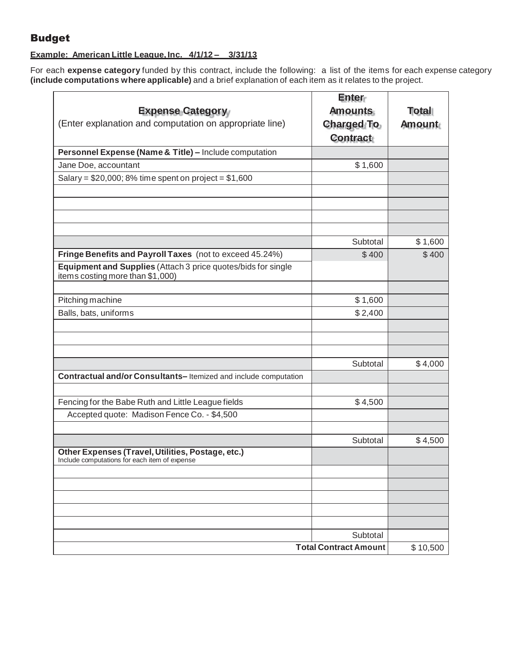## Budget

#### **Example: American Little League, Inc. 4/1/12 – 3/31/13**

For each **expense category** funded by this contract, include the following: a list of the items for each expense category **(include computations where applicable)** and a brief explanation of each item as it relates to the project.

|                                                                                                    | <b>Enter</b>                             |               |
|----------------------------------------------------------------------------------------------------|------------------------------------------|---------------|
| <b>Expense Category</b>                                                                            | <b>Amounts</b>                           | Total         |
| (Enter explanation and computation on appropriate line)                                            | <b>Charged To</b>                        | <b>Amount</b> |
|                                                                                                    | <b>Contract</b>                          |               |
| Personnel Expense (Name & Title) - Include computation                                             |                                          |               |
| Jane Doe, accountant                                                                               | \$1,600                                  |               |
| Salary = $$20,000; 8%$ time spent on project = $$1,600$                                            |                                          |               |
|                                                                                                    |                                          |               |
|                                                                                                    |                                          |               |
|                                                                                                    |                                          |               |
|                                                                                                    | Subtotal                                 | \$1,600       |
| Fringe Benefits and Payroll Taxes (not to exceed 45.24%)                                           | \$400                                    | \$400         |
| Equipment and Supplies (Attach 3 price quotes/bids for single<br>items costing more than \$1,000)  |                                          |               |
|                                                                                                    |                                          |               |
| Pitching machine                                                                                   | \$1,600                                  |               |
| Balls, bats, uniforms                                                                              | \$2,400                                  |               |
|                                                                                                    |                                          |               |
|                                                                                                    |                                          |               |
|                                                                                                    | Subtotal                                 |               |
|                                                                                                    |                                          | \$4,000       |
| Contractual and/or Consultants-Itemized and include computation                                    |                                          |               |
| Fencing for the Babe Ruth and Little League fields                                                 | \$4,500                                  |               |
| Accepted quote: Madison Fence Co. - \$4,500                                                        |                                          |               |
|                                                                                                    |                                          |               |
|                                                                                                    | Subtotal                                 | \$4,500       |
| Other Expenses (Travel, Utilities, Postage, etc.)<br>Include computations for each item of expense |                                          |               |
|                                                                                                    |                                          |               |
|                                                                                                    |                                          |               |
|                                                                                                    |                                          |               |
|                                                                                                    |                                          |               |
|                                                                                                    |                                          |               |
|                                                                                                    | Subtotal<br><b>Total Contract Amount</b> | \$10,500      |
|                                                                                                    |                                          |               |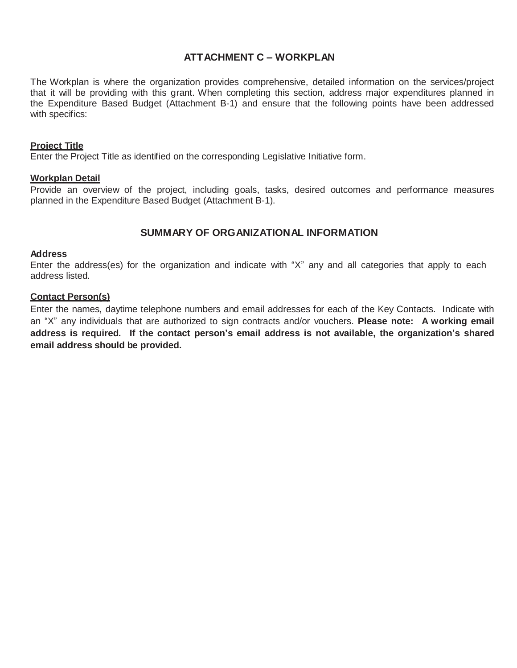## **ATTACHMENT C – WORKPLAN**

 The Workplan is where the organization provides comprehensive, detailed information on the services/project the Expenditure Based Budget (Attachment B-1) and ensure that the following points have been addressed that it will be providing with this grant. When completing this section, address major expenditures planned in with specifics:

#### **Project Title**

Enter the Project Title as identified on the corresponding Legislative Initiative form.

#### **Workplan Detail**

 Provide an overview of the project, including goals, tasks, desired outcomes and performance measures planned in the Expenditure Based Budget (Attachment B-1).

#### **SUMMARY OF ORGANIZATIONAL INFORMATION**

#### **Address**

 Enter the address(es) for the organization and indicate with "X" any and all categories that apply to each address listed.

#### **Contact Person(s)**

 Enter the names, daytime telephone numbers and email addresses for each of the Key Contacts. Indicate with an "X" any individuals that are authorized to sign contracts and/or vouchers. **Please note: A working email address is required. If the contact person's email address is not available, the organization's shared email address should be provided.**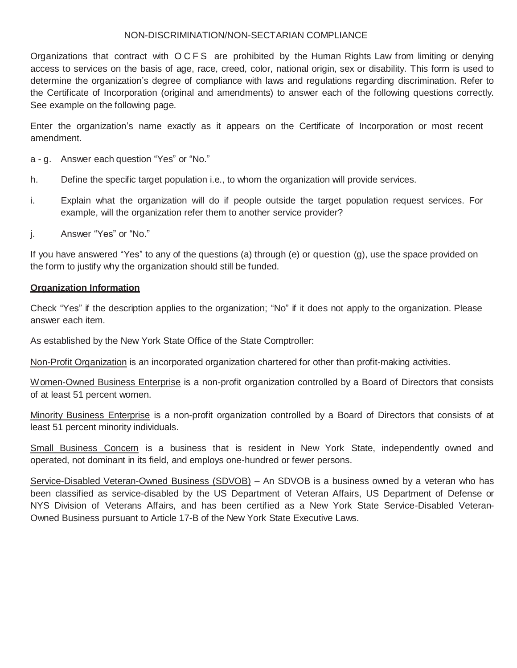#### NON-DISCRIMINATION/NON-SECTARIAN COMPLIANCE

 Organizations that contract with O C F S are prohibited by the Human Rights Law from limiting or denying access to services on the basis of age, race, creed, color, national origin, sex or disability. This form is used to determine the organization's degree of compliance with laws and regulations regarding discrimination. Refer to the Certificate of Incorporation (original and amendments) to answer each of the following questions correctly. See example on the following page.

 Enter the organization's name exactly as it appears on the Certificate of Incorporation or most recent amendment.

a - g. Answer each question "Yes" or "No."

- h. Define the specific target population i.e., to whom the organization will provide services.
- i. Explain what the organization will do if people outside the target population request services. For example, will the organization refer them to another service provider?
- j. j. Answer "Yes" or "No."

 If you have answered "Yes" to any of the questions (a) through (e) or question (g), use the space provided on the form to justify why the organization should still be funded.

#### **Organization Information**

 Check "Yes" if the description applies to the organization; "No" if it does not apply to the organization. Please answer each item.

As established by the New York State Office of the State Comptroller:

Non-Profit Organization is an incorporated organization chartered for other than profit-making activities.

Women-Owned Business Enterprise is a non-profit organization controlled by a Board of Directors that consists of at least 51 percent women.

Minority Business Enterprise is a non-profit organization controlled by a Board of Directors that consists of at least 51 percent minority individuals.

Small Business Concern is a business that is resident in New York State, independently owned and operated, not dominant in its field, and employs one-hundred or fewer persons.

Service-Disabled Veteran-Owned Business (SDVOB) - An SDVOB is a business owned by a veteran who has been classified as service-disabled by the US Department of Veteran Affairs, US Department of Defense or NYS Division of Veterans Affairs, and has been certified as a New York State Service-Disabled Veteran-Owned Business pursuant to Article 17-B of the New York State Executive Laws.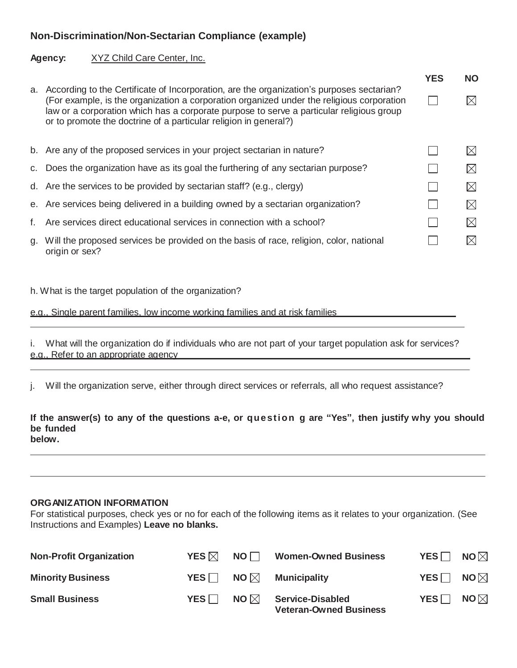## **Non-Discrimination/Non-Sectarian Compliance (example)**

#### **Agency:** XYZ Child Care Center, Inc.

|    |                                                                                                                                                                                                                                                                                                                                                        | <b>YES</b> | <b>NO</b>   |
|----|--------------------------------------------------------------------------------------------------------------------------------------------------------------------------------------------------------------------------------------------------------------------------------------------------------------------------------------------------------|------------|-------------|
| a. | According to the Certificate of Incorporation, are the organization's purposes sectarian?<br>(For example, is the organization a corporation organized under the religious corporation<br>law or a corporation which has a corporate purpose to serve a particular religious group<br>or to promote the doctrine of a particular religion in general?) |            | $\bowtie$   |
|    | b. Are any of the proposed services in your project sectarian in nature?                                                                                                                                                                                                                                                                               |            | M           |
|    | c. Does the organization have as its goal the furthering of any sectarian purpose?                                                                                                                                                                                                                                                                     |            | $\boxtimes$ |
|    | d. Are the services to be provided by sectarian staff? (e.g., clergy)                                                                                                                                                                                                                                                                                  |            | $\bowtie$   |
|    | e. Are services being delivered in a building owned by a sectarian organization?                                                                                                                                                                                                                                                                       |            | $\boxtimes$ |
| f. | Are services direct educational services in connection with a school?                                                                                                                                                                                                                                                                                  |            | $\boxtimes$ |
| g. | Will the proposed services be provided on the basis of race, religion, color, national<br>origin or sex?                                                                                                                                                                                                                                               |            | $\bowtie$   |

h. What is the target population of the organization?

e.g., Single parent families, low income working families and at risk families

 i. What will the organization do if individuals who are not part of your target population ask for services? e.g., Refer to an appropriate agency

j. Will the organization serve, either through direct services or referrals, all who request assistance?

 **If the answer(s) to any of the questions a-e, or que st i on g are "Yes", then justify why you should be funded below.** 

#### **ORGANIZATION INFORMATION**

 For statistical purposes, check yes or no for each of the following items as it relates to your organization. (See Instructions and Examples) **Leave no blanks.** 

| <b>Non-Profit Organization</b> | YES $\boxtimes$ | NO <sub>1</sub> | <b>Women-Owned Business</b>                              | $YES \Box$ | NO $\boxtimes$ |
|--------------------------------|-----------------|-----------------|----------------------------------------------------------|------------|----------------|
| <b>Minority Business</b>       | YES $\Box$      |                 | $NO \boxtimes$ Municipality                              | YES $\Box$ | NO $\boxtimes$ |
| <b>Small Business</b>          | YES             | NO $\boxtimes$  | <b>Service-Disabled</b><br><b>Veteran-Owned Business</b> | $YES \Box$ | NO $\boxtimes$ |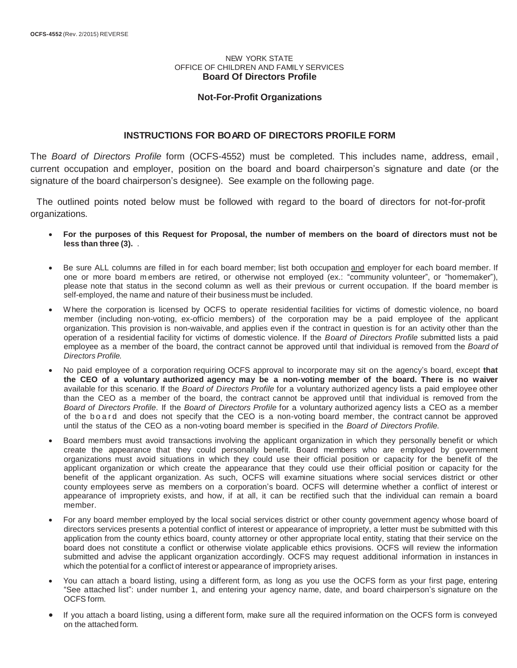#### NEW YORK STATE OFFICE OF CHILDREN AND FAMILY SERVICES **Board Of Directors Profile**

#### **Not-For-Profit Organizations**

#### **INSTRUCTIONS FOR BOARD OF DIRECTORS PROFILE FORM**

 The *Board of Directors Profile* form (OCFS-4552) must be completed. This includes name, address, email , current occupation and employer, position on the board and board chairperson's signature and date (or the signature of the board chairperson's designee). See example on the following page.

 The outlined points noted below must be followed with regard to the board of directors for not-for-profit organizations.

- **For the purposes of this Request for Proposal, the number of members on the board of directors must not be less than three (3).** .
- **Be sure ALL columns are filled in for each board member; list both occupation and employer for each board member. If**  one or more board m embers are retired, or otherwise not employed (ex.: "community volunteer", or "homemaker"), please note that status in the second column as well as their previous or current occupation. If the board member is self-employed, the name and nature of their business must be included.
- member (including non-voting, ex-officio members) of the corporation may be a paid employee of the applicant organization. This provision is non-waivable, and applies even if the contract in question is for an activity other than the operation of a residential facility for victims of domestic violence. If the *Board of Directors Profile* submitted lists a paid Where the corporation is licensed by OCFS to operate residential facilities for victims of domestic violence, no board employee as a member of the board, the contract cannot be approved until that individual is removed from the *Board of Directors Profile.*
- **the CEO of a voluntary authorized agency may be a non-voting member of the board. There is no waiver**  available for this scenario. If the *Board of Directors Profile* for a voluntary authorized agency lists a paid employee other than the CEO as a member of the board, the contract cannot be approved until that individual is removed from the *Board of Directors Profile*. If the *Board of Directors Profile* for a voluntary authorized agency lists a CEO as a member of the board and does not specify that the CEO is a non-voting board member, the contract cannot be approved until the status of the CEO as a non-voting board member is specified in the *Board of Directors Profile.*  No paid employee of a corporation requiring OCFS approval to incorporate may sit on the agency's board, except that
- create the appearance that they could personally benefit. Board members who are employed by government organizations must avoid situations in which they could use their official position or capacity for the benefit of the applicant organization or which create the appearance that they could use their official position or capacity for the benefit of the applicant organization. As such, OCFS will examine situations where social services district or other county employees serve as members on a corporation's board. OCFS will determine whether a conflict of interest or appearance of impropriety exists, and how, if at all, it can be rectified such that the individual can remain a board Board members must avoid transactions involving the applicant organization in which they personally benefit or which member.
- submitted and advise the applicant organization accordingly. OCFS may request additional information in instances in which the potential for a conflict of interest or appearance of impropriety arises. For any board member employed by the local social services district or other county government agency whose board of directors services presents a potential conflict of interest or appearance of impropriety, a letter must be submitted with this application from the county ethics board, county attorney or other appropriate local entity, stating that their service on the board does not constitute a conflict or otherwise violate applicable ethics provisions. OCFS will review the information
- "See attached list": under number 1, and entering your agency name, date, and board chairperson's signature on the You can attach a board listing, using a different form, as long as you use the OCFS form as your first page, entering OCFS form.
- If you attach a board listing, using a different form, make sure all the required information on the OCFS form is conveyed on the attached form.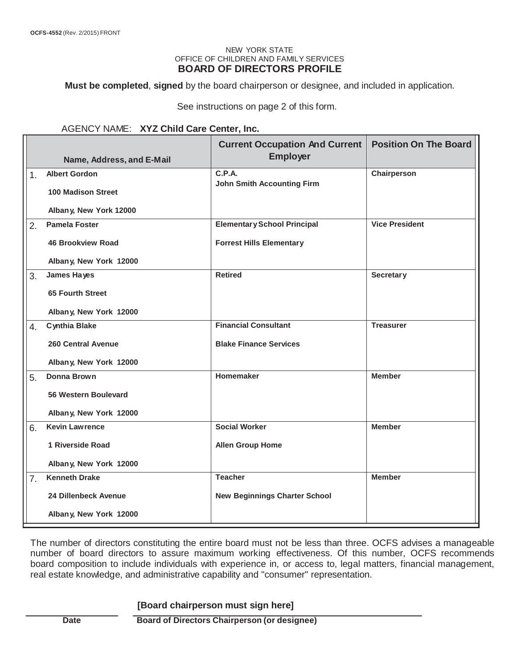#### NEW YORK STATE OFFICE OF CHILDREN AND FAMILY SERVICES **BOARD OF DIRECTORS PROFILE**

**Must be completed**, **signed** by the board chairperson or designee, and included in application.

See instructions on page 2 of this form.

#### AGENCY NAME: **XYZ Child Care Center, Inc.**

|                |                             | <b>Current Occupation And Current</b><br><b>Employer</b> | <b>Position On The Board</b> |  |
|----------------|-----------------------------|----------------------------------------------------------|------------------------------|--|
|                | Name, Address, and E-Mail   |                                                          |                              |  |
| 1 <sub>1</sub> | <b>Albert Gordon</b>        | C.P.A.<br><b>John Smith Accounting Firm</b>              | Chairperson                  |  |
|                | <b>100 Madison Street</b>   |                                                          |                              |  |
|                | Albany, New York 12000      |                                                          |                              |  |
| 2.             | <b>Pamela Foster</b>        | <b>Elementary School Principal</b>                       | <b>Vice President</b>        |  |
|                | <b>46 Brookview Road</b>    | <b>Forrest Hills Elementary</b>                          |                              |  |
|                | Albany, New York 12000      |                                                          |                              |  |
| 3.             | James Hayes                 | <b>Retired</b>                                           | <b>Secretary</b>             |  |
|                | <b>65 Fourth Street</b>     |                                                          |                              |  |
|                | Albany, New York 12000      |                                                          |                              |  |
| 4.             | <b>Cynthia Blake</b>        | <b>Financial Consultant</b>                              | <b>Treasurer</b>             |  |
|                | 260 Central Avenue          | <b>Blake Finance Services</b>                            |                              |  |
|                | Albany, New York 12000      |                                                          |                              |  |
| 5.             | Donna Brown                 | <b>Homemaker</b>                                         | <b>Member</b>                |  |
|                | <b>56 Western Boulevard</b> |                                                          |                              |  |
|                | Albany, New York 12000      |                                                          |                              |  |
| 6.             | <b>Kevin Lawrence</b>       | <b>Social Worker</b>                                     | <b>Member</b>                |  |
|                | 1 Riverside Road            | <b>Allen Group Home</b>                                  |                              |  |
|                | Albany, New York 12000      |                                                          |                              |  |
| 7.             | <b>Kenneth Drake</b>        | <b>Teacher</b>                                           | <b>Member</b>                |  |
|                | 24 Dillenbeck Avenue        | <b>New Beginnings Charter School</b>                     |                              |  |
|                | Albany, New York 12000      |                                                          |                              |  |

 The number of directors constituting the entire board must not be less than three. OCFS advises a manageable number of board directors to assure maximum working effectiveness. Of this number, OCFS recommends board composition to include individuals with experience in, or access to, legal matters, financial management, real estate knowledge, and administrative capability and "consumer" representation.

#### **[Board chairperson must sign here]**

**Date** Board of Directors Chairperson (or designee)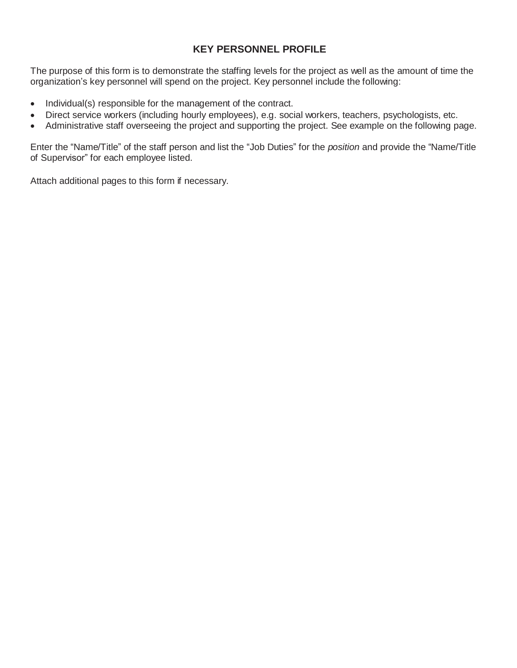## **KEY PERSONNEL PROFILE**

 The purpose of this form is to demonstrate the staffing levels for the project as well as the amount of time the organization's key personnel will spend on the project. Key personnel include the following:

- Individual(s) responsible for the management of the contract.
- Direct service workers (including hourly employees), e.g. social workers, teachers, psychologists, etc.
- Administrative staff overseeing the project and supporting the project. See example on the following page.

 Enter the "Name/Title" of the staff person and list the "Job Duties" for the *position* and provide the "Name/Title of Supervisor" for each employee listed.

Attach additional pages to this form if necessary.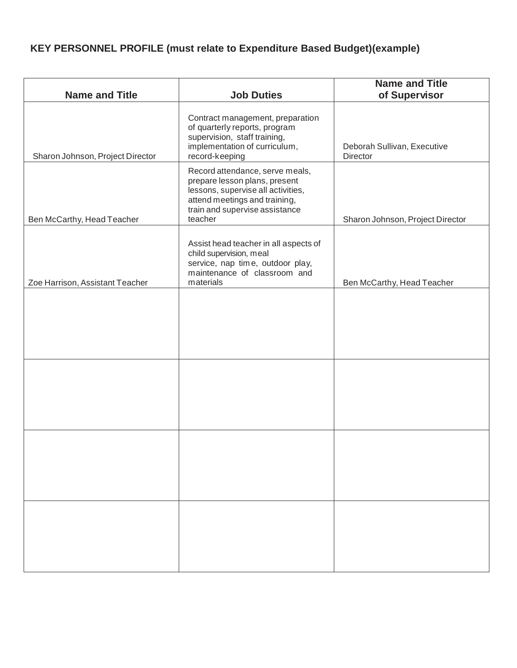## **KEY PERSONNEL PROFILE (must relate to Expenditure Based Budget)(example)**

| <b>Name and Title</b>            | <b>Job Duties</b>                                                                                                                                                                    | <b>Name and Title</b><br>of Supervisor  |
|----------------------------------|--------------------------------------------------------------------------------------------------------------------------------------------------------------------------------------|-----------------------------------------|
| Sharon Johnson, Project Director | Contract management, preparation<br>of quarterly reports, program<br>supervision, staff training,<br>implementation of curriculum,<br>record-keeping                                 | Deborah Sullivan, Executive<br>Director |
| Ben McCarthy, Head Teacher       | Record attendance, serve meals,<br>prepare lesson plans, present<br>lessons, supervise all activities,<br>attend meetings and training,<br>train and supervise assistance<br>teacher | Sharon Johnson, Project Director        |
| Zoe Harrison, Assistant Teacher  | Assist head teacher in all aspects of<br>child supervision, meal<br>service, nap time, outdoor play,<br>maintenance of classroom and<br>materials                                    | Ben McCarthy, Head Teacher              |
|                                  |                                                                                                                                                                                      |                                         |
|                                  |                                                                                                                                                                                      |                                         |
|                                  |                                                                                                                                                                                      |                                         |
|                                  |                                                                                                                                                                                      |                                         |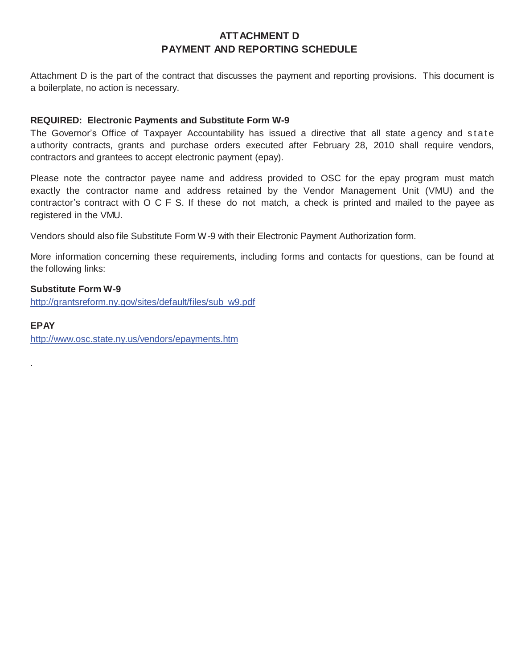## **ATTACHMENT D PAYMENT AND REPORTING SCHEDULE**

 Attachment D is the part of the contract that discusses the payment and reporting provisions. This document is a boilerplate, no action is necessary.

#### **REQUIRED: Electronic Payments and Substitute Form W-9**

The Governor's Office of Taxpayer Accountability has issued a directive that all state agency and state a uthority contracts, grants and purchase orders executed after February 28, 2010 shall require vendors, contractors and grantees to accept electronic payment (epay).

 Please note the contractor payee name and address provided to OSC for the epay program must match exactly the contractor name and address retained by the Vendor Management Unit (VMU) and the contractor's contract with O C F S. If these do not match, a check is printed and mailed to the payee as registered in the VMU.

Vendors should also file Substitute Form W-9 with their Electronic Payment Authorization form.

 More information concerning these requirements, including forms and contacts for questions, can be found at the following links:

#### **Substitute Form W-9**

http://grantsreform.ny.gov/sites/default/files/sub\_w9.pdf

#### **EPAY**

.

http://www.osc.state.ny.us/vendors/epayments.htm